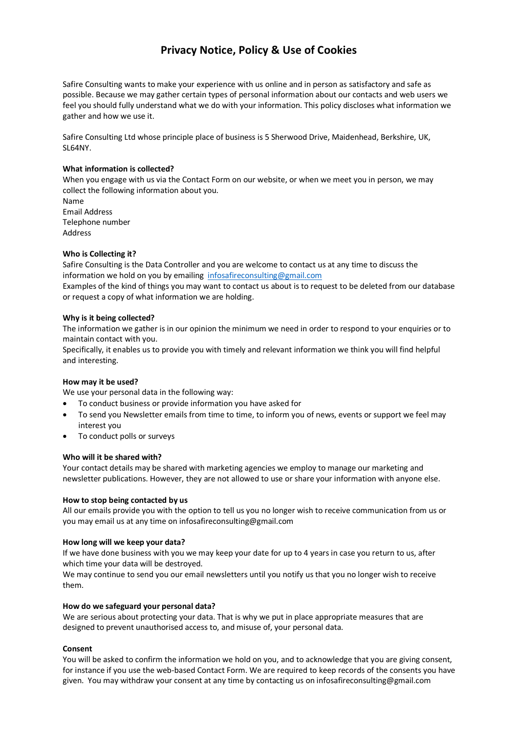# **Privacy Notice, Policy & Use of Cookies**

Safire Consulting wants to make your experience with us online and in person as satisfactory and safe as possible. Because we may gather certain types of personal information about our contacts and web users we feel you should fully understand what we do with your information. This policy discloses what information we gather and how we use it.

Safire Consulting Ltd whose principle place of business is 5 Sherwood Drive, Maidenhead, Berkshire, UK, SL64NY.

## **What information is collected?**

When you engage with us via the Contact Form on our website, or when we meet you in person, we may collect the following information about you. Name

Email Address Telephone number Address

### **Who is Collecting it?**

Safire Consulting is the Data Controller and you are welcome to contact us at any time to discuss the information we hold on you by emailing infosafireconsulting@gmail.com

Examples of the kind of things you may want to contact us about is to request to be deleted from our database or request a copy of what information we are holding.

### **Why is it being collected?**

The information we gather is in our opinion the minimum we need in order to respond to your enquiries or to maintain contact with you.

Specifically, it enables us to provide you with timely and relevant information we think you will find helpful and interesting.

## **How may it be used?**

We use your personal data in the following way:

- To conduct business or provide information you have asked for
- To send you Newsletter emails from time to time, to inform you of news, events or support we feel may interest you
- To conduct polls or surveys

#### **Who will it be shared with?**

Your contact details may be shared with marketing agencies we employ to manage our marketing and newsletter publications. However, they are not allowed to use or share your information with anyone else.

## **How to stop being contacted by us**

All our emails provide you with the option to tell us you no longer wish to receive communication from us or you may email us at any time on infosafireconsulting@gmail.com

#### **How long will we keep your data?**

If we have done business with you we may keep your date for up to 4 years in case you return to us, after which time your data will be destroyed.

We may continue to send you our email newsletters until you notify us that you no longer wish to receive them.

#### **How do we safeguard your personal data?**

We are serious about protecting your data. That is why we put in place appropriate measures that are designed to prevent unauthorised access to, and misuse of, your personal data.

## **Consent**

You will be asked to confirm the information we hold on you, and to acknowledge that you are giving consent, for instance if you use the web-based Contact Form. We are required to keep records of the consents you have given. You may withdraw your consent at any time by contacting us on infosafireconsulting@gmail.com